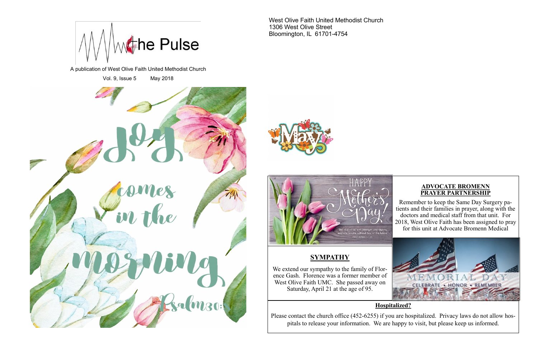#### **ADVOCATE BROMENN PRAYER PARTNERSHIP**

Remember to keep the Same Day Surgery patients and their families in prayer, along with the doctors and medical staff from that unit. For 2018, West Olive Faith has been assigned to pray for this unit at Advocate Bromenn Medical



A publication of West Olive Faith United Methodist Church

Vol. 9, Issue 5 May 2018







West Olive Faith United Methodist Church 1306 West Olive Street Bloomington, IL 61701-4754



#### **Hospitalized?**

Please contact the church office (452-6255) if you are hospitalized. Privacy laws do not allow hospitals to release your information. We are happy to visit, but please keep us informed.

# **SYMPATHY**

We extend our sympathy to the family of Florence Gash. Florence was a former member of West Olive Faith UMC. She passed away on Saturday, April 21 at the age of 95.